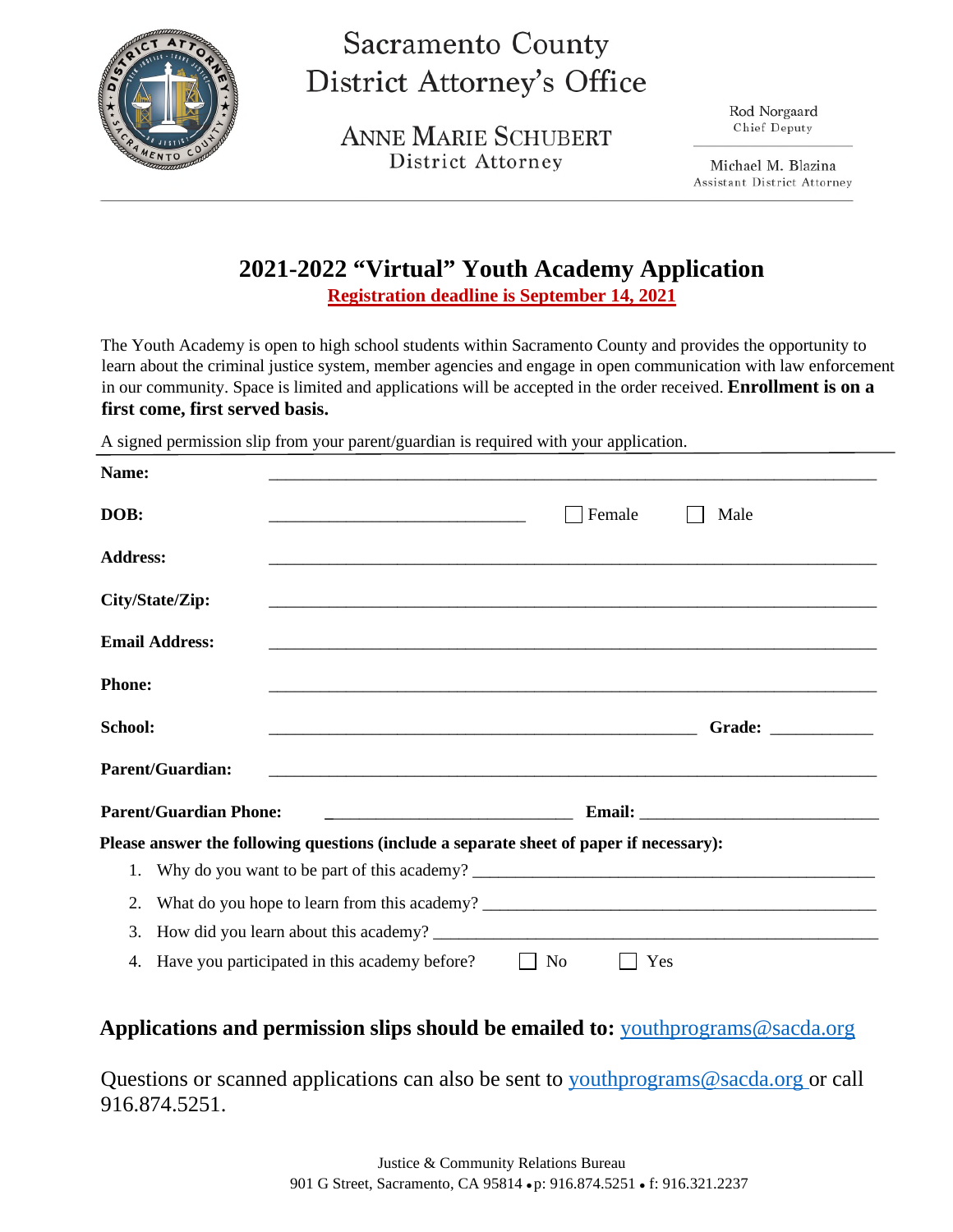

# **Sacramento County District Attorney's Office**

**ANNE MARIE SCHUBERT** District Attorney

Rod Norgaard Chief Deputy

Michael M. Blazina **Assistant District Attorney** 

## **2021-2022 "Virtual" Youth Academy Application**

**Registration deadline is September 14, 2021**

The Youth Academy is open to high school students within Sacramento County and provides the opportunity to learn about the criminal justice system, member agencies and engage in open communication with law enforcement in our community. Space is limited and applications will be accepted in the order received. **Enrollment is on a first come, first served basis.**

A signed permission slip from your parent/guardian is required with your application.

| Name:                   |                                                                                                                      |                                                                                                                       |
|-------------------------|----------------------------------------------------------------------------------------------------------------------|-----------------------------------------------------------------------------------------------------------------------|
| DOB:                    | <u> 1989 - Johann Barbara, martin amerikan basar dan berasal dalam basa dalam basar dalam basar dalam basa dalam</u> | Female<br>Male                                                                                                        |
| <b>Address:</b>         |                                                                                                                      |                                                                                                                       |
| City/State/Zip:         |                                                                                                                      |                                                                                                                       |
| <b>Email Address:</b>   |                                                                                                                      | <u> 1989 - Johann Stoff, deutscher Stoff, der Stoff, der Stoff, der Stoff, der Stoff, der Stoff, der Stoff, der S</u> |
| <b>Phone:</b>           |                                                                                                                      |                                                                                                                       |
| <b>School:</b>          | <u> 2000 - 2000 - 2000 - 2000 - 2000 - 2000 - 2000 - 2000 - 2000 - 2000 - 2000 - 2000 - 2000 - 2000 - 2000 - 200</u> | Grade: _____________                                                                                                  |
| <b>Parent/Guardian:</b> | <u> 2000 - Jan James James Jan James James James James James James James James James James James James James Jam</u> |                                                                                                                       |
|                         | <b>Parent/Guardian Phone:</b>                                                                                        |                                                                                                                       |
|                         | Please answer the following questions (include a separate sheet of paper if necessary):                              |                                                                                                                       |
| 1.                      |                                                                                                                      |                                                                                                                       |
|                         |                                                                                                                      |                                                                                                                       |
| 2.                      |                                                                                                                      |                                                                                                                       |
| 3.                      | How did you learn about this academy?                                                                                |                                                                                                                       |

### **Applications and permission slips should be emailed to:** youthprograms@sacda.org

Questions or scanned applications can also be sent to youthprograms@sacda.org or call 916.874.5251.